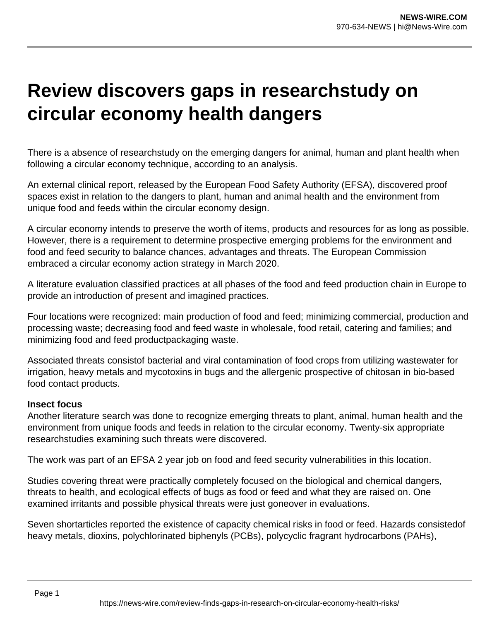## **Review discovers gaps in researchstudy on circular economy health dangers**

There is a absence of researchstudy on the emerging dangers for animal, human and plant health when following a circular economy technique, according to an analysis.

An external clinical report, released by the European Food Safety Authority (EFSA), discovered proof spaces exist in relation to the dangers to plant, human and animal health and the environment from unique food and feeds within the circular economy design.

A circular economy intends to preserve the worth of items, products and resources for as long as possible. However, there is a requirement to determine prospective emerging problems for the environment and food and feed security to balance chances, advantages and threats. The European Commission embraced a circular economy action strategy in March 2020.

A literature evaluation classified practices at all phases of the food and feed production chain in Europe to provide an introduction of present and imagined practices.

Four locations were recognized: main production of food and feed; minimizing commercial, production and processing waste; decreasing food and feed waste in wholesale, food retail, catering and families; and minimizing food and feed productpackaging waste.

Associated threats consistof bacterial and viral contamination of food crops from utilizing wastewater for irrigation, heavy metals and mycotoxins in bugs and the allergenic prospective of chitosan in bio-based food contact products.

## **Insect focus**

Another literature search was done to recognize emerging threats to plant, animal, human health and the environment from unique foods and feeds in relation to the circular economy. Twenty-six appropriate researchstudies examining such threats were discovered.

The work was part of an EFSA 2 year job on food and feed security vulnerabilities in this location.

Studies covering threat were practically completely focused on the biological and chemical dangers, threats to health, and ecological effects of bugs as food or feed and what they are raised on. One examined irritants and possible physical threats were just goneover in evaluations.

Seven shortarticles reported the existence of capacity chemical risks in food or feed. Hazards consistedof heavy metals, dioxins, polychlorinated biphenyls (PCBs), polycyclic fragrant hydrocarbons (PAHs),